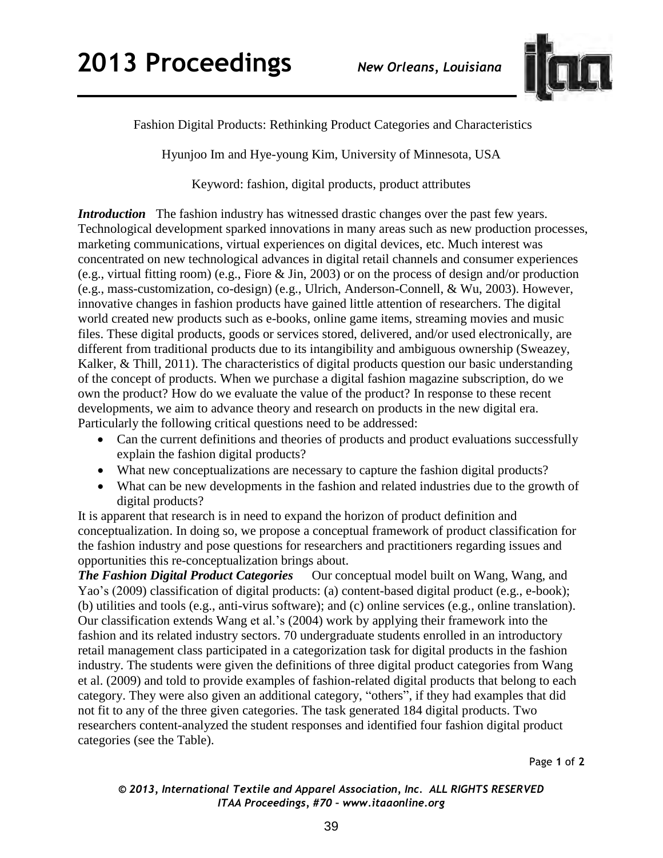

Fashion Digital Products: Rethinking Product Categories and Characteristics

Hyunjoo Im and Hye-young Kim, University of Minnesota, USA

Keyword: fashion, digital products, product attributes

*Introduction* The fashion industry has witnessed drastic changes over the past few years. Technological development sparked innovations in many areas such as new production processes, marketing communications, virtual experiences on digital devices, etc. Much interest was concentrated on new technological advances in digital retail channels and consumer experiences (e.g., virtual fitting room) (e.g., Fiore & Jin, 2003) or on the process of design and/or production (e.g., mass-customization, co-design) (e.g., Ulrich, Anderson-Connell, & Wu, 2003). However, innovative changes in fashion products have gained little attention of researchers. The digital world created new products such as e-books, online game items, streaming movies and music files. These digital products, goods or services stored, delivered, and/or used electronically, are different from traditional products due to its intangibility and ambiguous ownership (Sweazey, Kalker, & Thill, 2011). The characteristics of digital products question our basic understanding of the concept of products. When we purchase a digital fashion magazine subscription, do we own the product? How do we evaluate the value of the product? In response to these recent developments, we aim to advance theory and research on products in the new digital era. Particularly the following critical questions need to be addressed:

- Can the current definitions and theories of products and product evaluations successfully explain the fashion digital products?
- What new conceptualizations are necessary to capture the fashion digital products?
- What can be new developments in the fashion and related industries due to the growth of digital products?

It is apparent that research is in need to expand the horizon of product definition and conceptualization. In doing so, we propose a conceptual framework of product classification for the fashion industry and pose questions for researchers and practitioners regarding issues and opportunities this re-conceptualization brings about.

*The Fashion Digital Product Categories* Our conceptual model built on Wang, Wang, and Yao's (2009) classification of digital products: (a) content-based digital product (e.g., e-book); (b) utilities and tools (e.g., anti-virus software); and (c) online services (e.g., online translation). Our classification extends Wang et al.'s (2004) work by applying their framework into the fashion and its related industry sectors. 70 undergraduate students enrolled in an introductory retail management class participated in a categorization task for digital products in the fashion industry. The students were given the definitions of three digital product categories from Wang et al. (2009) and told to provide examples of fashion-related digital products that belong to each category. They were also given an additional category, "others", if they had examples that did not fit to any of the three given categories. The task generated 184 digital products. Two researchers content-analyzed the student responses and identified four fashion digital product categories (see the Table).

Page **1** of **2** 

*© 2013, International Textile and Apparel Association, Inc. ALL RIGHTS RESERVED ITAA Proceedings, #70 – www.itaaonline.org*